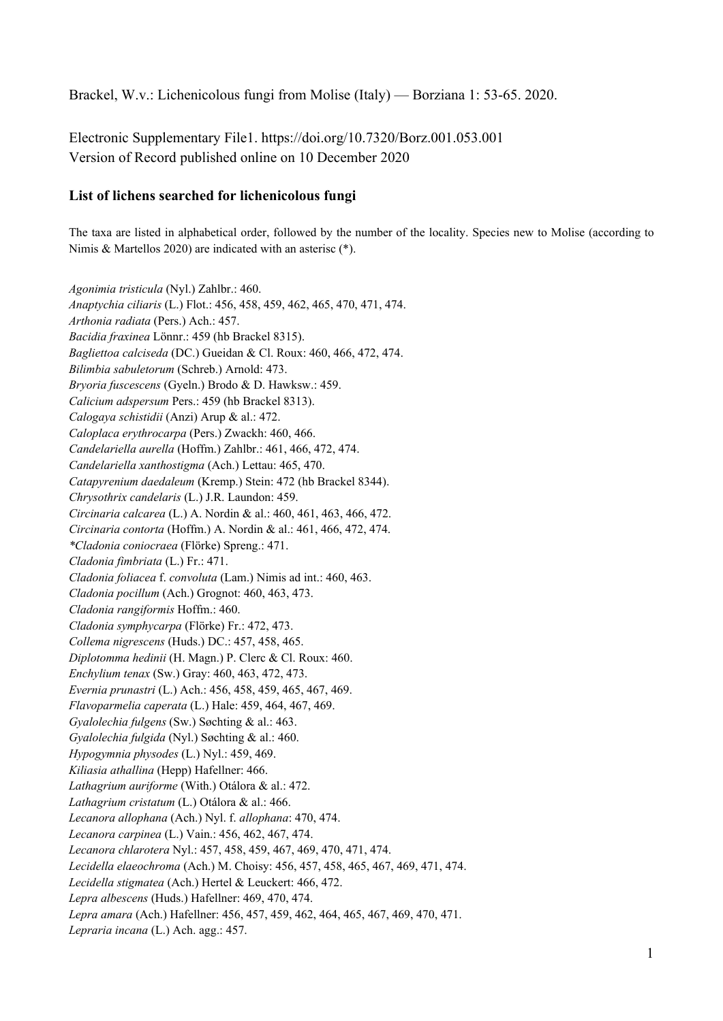Brackel, W.v.: Lichenicolous fungi from Molise (Italy) — Borziana 1: 53-65. 2020.

Electronic Supplementary File1. https://doi.org/10.7320/Borz.001.053.001 Version of Record published online on 10 December 2020

## **List of lichens searched for lichenicolous fungi**

The taxa are listed in alphabetical order, followed by the number of the locality. Species new to Molise (according to Nimis & Martellos 2020) are indicated with an asterisc (\*).

*Agonimia tristicula* (Nyl.) Zahlbr.: 460. *Anaptychia ciliaris* (L.) Flot.: 456, 458, 459, 462, 465, 470, 471, 474. *Arthonia radiata* (Pers.) Ach.: 457. *Bacidia fraxinea* Lönnr.: 459 (hb Brackel 8315). *Bagliettoa calciseda* (DC.) Gueidan & Cl. Roux: 460, 466, 472, 474. *Bilimbia sabuletorum* (Schreb.) Arnold: 473. *Bryoria fuscescens* (Gyeln.) Brodo & D. Hawksw.: 459. *Calicium adspersum* Pers.: 459 (hb Brackel 8313). *Calogaya schistidii* (Anzi) Arup & al.: 472. *Caloplaca erythrocarpa* (Pers.) Zwackh: 460, 466. *Candelariella aurella* (Hoffm.) Zahlbr.: 461, 466, 472, 474. *Candelariella xanthostigma* (Ach.) Lettau: 465, 470. *Catapyrenium daedaleum* (Kremp.) Stein: 472 (hb Brackel 8344). *Chrysothrix candelaris* (L.) J.R. Laundon: 459. *Circinaria calcarea* (L.) A. Nordin & al.: 460, 461, 463, 466, 472. *Circinaria contorta* (Hoffm.) A. Nordin & al.: 461, 466, 472, 474. *\*Cladonia coniocraea* (Flörke) Spreng.: 471. *Cladonia fimbriata* (L.) Fr.: 471. *Cladonia foliacea* f. *convoluta* (Lam.) Nimis ad int.: 460, 463. *Cladonia pocillum* (Ach.) Grognot: 460, 463, 473. *Cladonia rangiformis* Hoffm.: 460. *Cladonia symphycarpa* (Flörke) Fr.: 472, 473. *Collema nigrescens* (Huds.) DC.: 457, 458, 465. *Diplotomma hedinii* (H. Magn.) P. Clerc & Cl. Roux: 460. *Enchylium tenax* (Sw.) Gray: 460, 463, 472, 473. *Evernia prunastri* (L.) Ach.: 456, 458, 459, 465, 467, 469. *Flavoparmelia caperata* (L.) Hale: 459, 464, 467, 469. *Gyalolechia fulgens* (Sw.) Søchting & al.: 463. *Gyalolechia fulgida* (Nyl.) Søchting & al.: 460. *Hypogymnia physodes* (L.) Nyl.: 459, 469. *Kiliasia athallina* (Hepp) Hafellner: 466. *Lathagrium auriforme* (With.) Otálora & al.: 472. *Lathagrium cristatum* (L.) Otálora & al.: 466. *Lecanora allophana* (Ach.) Nyl. f. *allophana*: 470, 474. *Lecanora carpinea* (L.) Vain.: 456, 462, 467, 474. *Lecanora chlarotera* Nyl.: 457, 458, 459, 467, 469, 470, 471, 474. *Lecidella elaeochroma* (Ach.) M. Choisy: 456, 457, 458, 465, 467, 469, 471, 474. *Lecidella stigmatea* (Ach.) Hertel & Leuckert: 466, 472. *Lepra albescens* (Huds.) Hafellner: 469, 470, 474. *Lepra amara* (Ach.) Hafellner: 456, 457, 459, 462, 464, 465, 467, 469, 470, 471. *Lepraria incana* (L.) Ach. agg.: 457.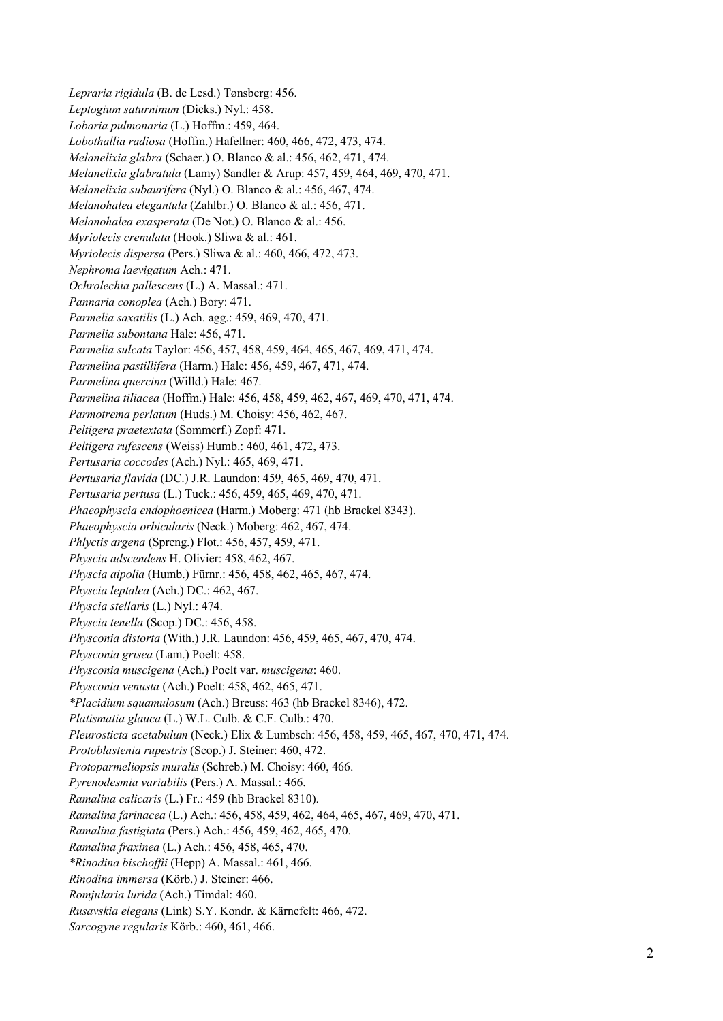*Lepraria rigidula* (B. de Lesd.) Tønsberg: 456. *Leptogium saturninum* (Dicks.) Nyl.: 458. *Lobaria pulmonaria* (L.) Hoffm.: 459, 464. *Lobothallia radiosa* (Hoffm.) Hafellner: 460, 466, 472, 473, 474. *Melanelixia glabra* (Schaer.) O. Blanco & al.: 456, 462, 471, 474. *Melanelixia glabratula* (Lamy) Sandler & Arup: 457, 459, 464, 469, 470, 471. *Melanelixia subaurifera* (Nyl.) O. Blanco & al.: 456, 467, 474. *Melanohalea elegantula* (Zahlbr.) O. Blanco & al.: 456, 471. *Melanohalea exasperata* (De Not.) O. Blanco & al.: 456. *Myriolecis crenulata* (Hook.) Sliwa & al.: 461. *Myriolecis dispersa* (Pers.) Sliwa & al.: 460, 466, 472, 473. *Nephroma laevigatum* Ach.: 471. *Ochrolechia pallescens* (L.) A. Massal.: 471. *Pannaria conoplea* (Ach.) Bory: 471. *Parmelia saxatilis* (L.) Ach. agg.: 459, 469, 470, 471. *Parmelia subontana* Hale: 456, 471. *Parmelia sulcata* Taylor: 456, 457, 458, 459, 464, 465, 467, 469, 471, 474. *Parmelina pastillifera* (Harm.) Hale: 456, 459, 467, 471, 474. *Parmelina quercina* (Willd.) Hale: 467. *Parmelina tiliacea* (Hoffm.) Hale: 456, 458, 459, 462, 467, 469, 470, 471, 474. *Parmotrema perlatum* (Huds.) M. Choisy: 456, 462, 467. *Peltigera praetextata* (Sommerf.) Zopf: 471. *Peltigera rufescens* (Weiss) Humb.: 460, 461, 472, 473. *Pertusaria coccodes* (Ach.) Nyl.: 465, 469, 471. *Pertusaria flavida* (DC.) J.R. Laundon: 459, 465, 469, 470, 471. *Pertusaria pertusa* (L.) Tuck.: 456, 459, 465, 469, 470, 471. *Phaeophyscia endophoenicea* (Harm.) Moberg: 471 (hb Brackel 8343). *Phaeophyscia orbicularis* (Neck.) Moberg: 462, 467, 474. *Phlyctis argena* (Spreng.) Flot.: 456, 457, 459, 471. *Physcia adscendens* H. Olivier: 458, 462, 467. *Physcia aipolia* (Humb.) Fürnr.: 456, 458, 462, 465, 467, 474. *Physcia leptalea* (Ach.) DC.: 462, 467. *Physcia stellaris* (L.) Nyl.: 474. *Physcia tenella* (Scop.) DC.: 456, 458. *Physconia distorta* (With.) J.R. Laundon: 456, 459, 465, 467, 470, 474. *Physconia grisea* (Lam.) Poelt: 458. *Physconia muscigena* (Ach.) Poelt var. *muscigena*: 460. *Physconia venusta* (Ach.) Poelt: 458, 462, 465, 471. *\*Placidium squamulosum* (Ach.) Breuss: 463 (hb Brackel 8346), 472. *Platismatia glauca* (L.) W.L. Culb. & C.F. Culb.: 470. *Pleurosticta acetabulum* (Neck.) Elix & Lumbsch: 456, 458, 459, 465, 467, 470, 471, 474. *Protoblastenia rupestris* (Scop.) J. Steiner: 460, 472. *Protoparmeliopsis muralis* (Schreb.) M. Choisy: 460, 466. *Pyrenodesmia variabilis* (Pers.) A. Massal.: 466. *Ramalina calicaris* (L.) Fr.: 459 (hb Brackel 8310). *Ramalina farinacea* (L.) Ach.: 456, 458, 459, 462, 464, 465, 467, 469, 470, 471. *Ramalina fastigiata* (Pers.) Ach.: 456, 459, 462, 465, 470. *Ramalina fraxinea* (L.) Ach.: 456, 458, 465, 470. *\*Rinodina bischoffii* (Hepp) A. Massal.: 461, 466. *Rinodina immersa* (Körb.) J. Steiner: 466. *Romjularia lurida* (Ach.) Timdal: 460. *Rusavskia elegans* (Link) S.Y. Kondr. & Kärnefelt: 466, 472. *Sarcogyne regularis* Körb.: 460, 461, 466.